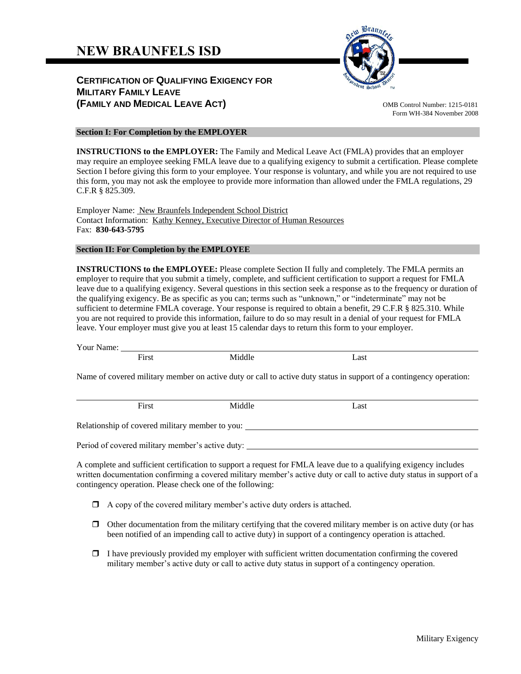# **NEW BRAUNFELS ISD**

# **CERTIFICATION OF QUALIFYING EXIGENCY FOR MILITARY FAMILY LEAVE (FAMILY AND MEDICAL LEAVE ACT)** OMB Control Number: 1215-0181



Form WH-384 November 2008

#### **Section I: For Completion by the EMPLOYER**

**INSTRUCTIONS to the EMPLOYER:** The Family and Medical Leave Act (FMLA) provides that an employer may require an employee seeking FMLA leave due to a qualifying exigency to submit a certification. Please complete Section I before giving this form to your employee. Your response is voluntary, and while you are not required to use this form, you may not ask the employee to provide more information than allowed under the FMLA regulations, 29 C.F.R § 825.309.

Employer Name: New Braunfels Independent School District Contact Information: Kathy Kenney, Executive Director of Human Resources Fax: **830-643-5795**

#### **Section II: For Completion by the EMPLOYEE**

**INSTRUCTIONS to the EMPLOYEE:** Please complete Section II fully and completely. The FMLA permits an employer to require that you submit a timely, complete, and sufficient certification to support a request for FMLA leave due to a qualifying exigency. Several questions in this section seek a response as to the frequency or duration of the qualifying exigency. Be as specific as you can; terms such as "unknown," or "indeterminate" may not be sufficient to determine FMLA coverage. Your response is required to obtain a benefit, 29 C.F.R § 825.310. While you are not required to provide this information, failure to do so may result in a denial of your request for FMLA leave. Your employer must give you at least 15 calendar days to return this form to your employer.

Your Name:

|                                                                                                                     | First | Middle | Last |  |  |
|---------------------------------------------------------------------------------------------------------------------|-------|--------|------|--|--|
| Name of covered military member on active duty or call to active duty status in support of a contingency operation: |       |        |      |  |  |
|                                                                                                                     |       |        |      |  |  |

First Middle Last Relationship of covered military member to you:

Period of covered military member's active duty:

A complete and sufficient certification to support a request for FMLA leave due to a qualifying exigency includes written documentation confirming a covered military member's active duty or call to active duty status in support of a contingency operation. Please check one of the following:

- $\Box$  A copy of the covered military member's active duty orders is attached.
- $\Box$  Other documentation from the military certifying that the covered military member is on active duty (or has been notified of an impending call to active duty) in support of a contingency operation is attached.
- $\Box$  I have previously provided my employer with sufficient written documentation confirming the covered military member's active duty or call to active duty status in support of a contingency operation.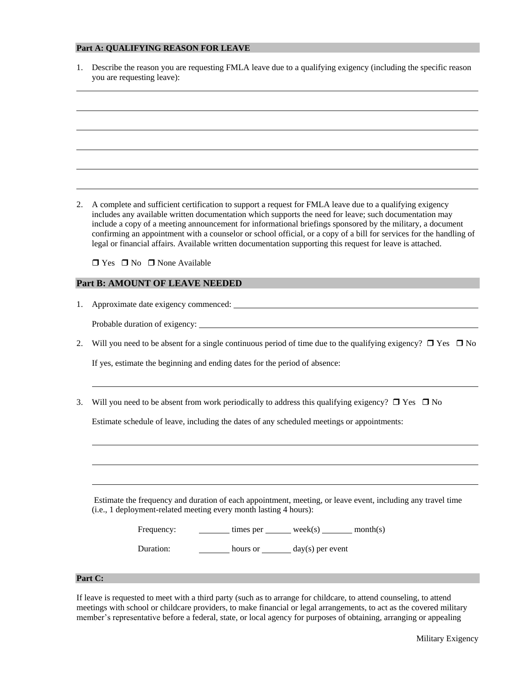#### **Part A: QUALIFYING REASON FOR LEAVE**

| 1. Describe the reason you are requesting FMLA leave due to a qualifying exigency (including the specific reason |
|------------------------------------------------------------------------------------------------------------------|
| you are requesting leave):                                                                                       |

2. A complete and sufficient certification to support a request for FMLA leave due to a qualifying exigency includes any available written documentation which supports the need for leave; such documentation may include a copy of a meeting announcement for informational briefings sponsored by the military, a document confirming an appointment with a counselor or school official, or a copy of a bill for services for the handling of legal or financial affairs. Available written documentation supporting this request for leave is attached.

 $\Box$  Yes  $\Box$  No  $\Box$  None Available

#### **Part B: AMOUNT OF LEAVE NEEDED**

| 1. | Approximate date exigency commenced: |  |  |
|----|--------------------------------------|--|--|
|    |                                      |  |  |

Probable duration of exigency:

2. Will you need to be absent for a single continuous period of time due to the qualifying exigency?  $\Box$  Yes  $\Box$  No

If yes, estimate the beginning and ending dates for the period of absence:

3. Will you need to be absent from work periodically to address this qualifying exigency?  $\Box$  Yes  $\Box$  No

Estimate schedule of leave, including the dates of any scheduled meetings or appointments:

Estimate the frequency and duration of each appointment, meeting, or leave event, including any travel time (i.e., 1 deployment-related meeting every month lasting 4 hours):

| Frequency: | times per | week(s)            | month(s) |
|------------|-----------|--------------------|----------|
| Duration:  | hours or  | $day(s)$ per event |          |

### **Part C:**

If leave is requested to meet with a third party (such as to arrange for childcare, to attend counseling, to attend meetings with school or childcare providers, to make financial or legal arrangements, to act as the covered military member's representative before a federal, state, or local agency for purposes of obtaining, arranging or appealing